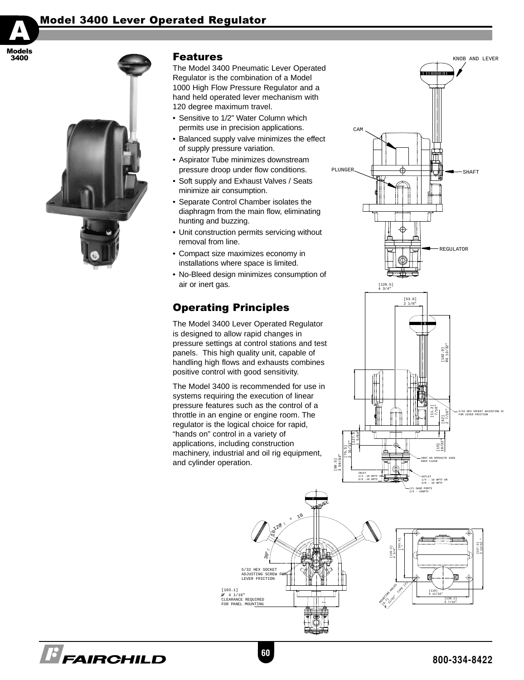# Model 3400 Lever Operated Regulator





**B** FAIRCHILD

### Features

The Model 3400 Pneumatic Lever Operated Regulator is the combination of a Model 1000 High Flow Pressure Regulator and a hand held operated lever mechanism with 120 degree maximum travel.

- Sensitive to 1/2" Water Column which permits use in precision applications.
- Balanced supply valve minimizes the effect of supply pressure variation.
- Aspirator Tube minimizes downstream pressure droop under flow conditions.
- Soft supply and Exhaust Valves / Seats minimize air consumption.
- Separate Control Chamber isolates the diaphragm from the main flow, eliminating hunting and buzzing.
- Unit construction permits servicing without removal from line.
- Compact size maximizes economy in installations where space is limited.
- No-Bleed design minimizes consumption of air or inert gas.

# Operating Principles

The Model 3400 Lever Operated Regulator is designed to allow rapid changes in pressure settings at control stations and test panels. This high quality unit, capable of handling high flows and exhausts combines positive control with good sensitivity.

The Model 3400 is recommended for use in systems requiring the execution of linear pressure features such as the control of a throttle in an engine or engine room. The regulator is the logical choice for rapid, "hands on" control in a variety of applications, including construction machinery, industrial and oil rig equipment, and cylinder operation.